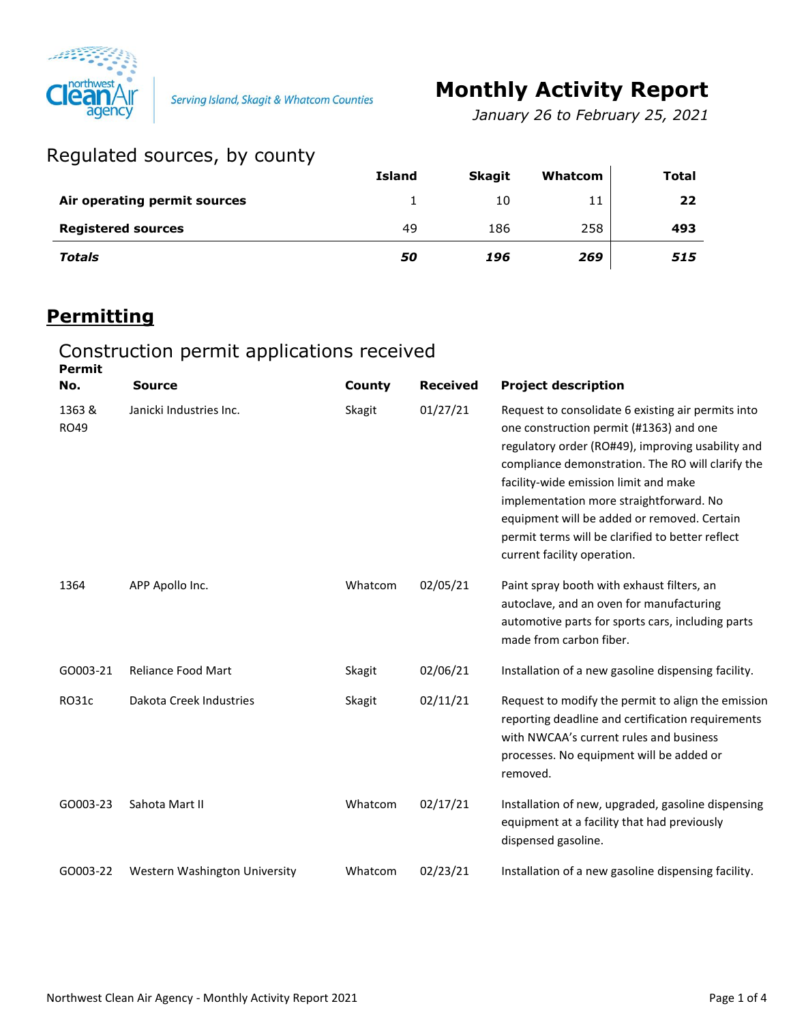

Serving Island, Skagit & Whatcom Counties

# **Monthly Activity Report**

*January 26 to February 25, 2021*

## Regulated sources, by county

|                              | <b>Island</b> | <b>Skagit</b> | Whatcom | Total |
|------------------------------|---------------|---------------|---------|-------|
| Air operating permit sources |               | 10            | 11      | 22    |
| <b>Registered sources</b>    | 49            | 186           | 258     | 493   |
| <b>Totals</b>                | 50            | 196           | 269     | 515   |

## **Permitting**

#### Construction permit applications received

| <b>Permit</b>        |                               |         |                 |                                                                                                                                                                                                                                                                                                                                                                                                                               |
|----------------------|-------------------------------|---------|-----------------|-------------------------------------------------------------------------------------------------------------------------------------------------------------------------------------------------------------------------------------------------------------------------------------------------------------------------------------------------------------------------------------------------------------------------------|
| No.                  | <b>Source</b>                 | County  | <b>Received</b> | <b>Project description</b>                                                                                                                                                                                                                                                                                                                                                                                                    |
| 1363&<br><b>RO49</b> | Janicki Industries Inc.       | Skagit  | 01/27/21        | Request to consolidate 6 existing air permits into<br>one construction permit (#1363) and one<br>regulatory order (RO#49), improving usability and<br>compliance demonstration. The RO will clarify the<br>facility-wide emission limit and make<br>implementation more straightforward. No<br>equipment will be added or removed. Certain<br>permit terms will be clarified to better reflect<br>current facility operation. |
| 1364                 | APP Apollo Inc.               | Whatcom | 02/05/21        | Paint spray booth with exhaust filters, an<br>autoclave, and an oven for manufacturing<br>automotive parts for sports cars, including parts<br>made from carbon fiber.                                                                                                                                                                                                                                                        |
| GO003-21             | <b>Reliance Food Mart</b>     | Skagit  | 02/06/21        | Installation of a new gasoline dispensing facility.                                                                                                                                                                                                                                                                                                                                                                           |
| <b>RO31c</b>         | Dakota Creek Industries       | Skagit  | 02/11/21        | Request to modify the permit to align the emission<br>reporting deadline and certification requirements<br>with NWCAA's current rules and business<br>processes. No equipment will be added or<br>removed.                                                                                                                                                                                                                    |
| GO003-23             | Sahota Mart II                | Whatcom | 02/17/21        | Installation of new, upgraded, gasoline dispensing<br>equipment at a facility that had previously<br>dispensed gasoline.                                                                                                                                                                                                                                                                                                      |
| GO003-22             | Western Washington University | Whatcom | 02/23/21        | Installation of a new gasoline dispensing facility.                                                                                                                                                                                                                                                                                                                                                                           |
|                      |                               |         |                 |                                                                                                                                                                                                                                                                                                                                                                                                                               |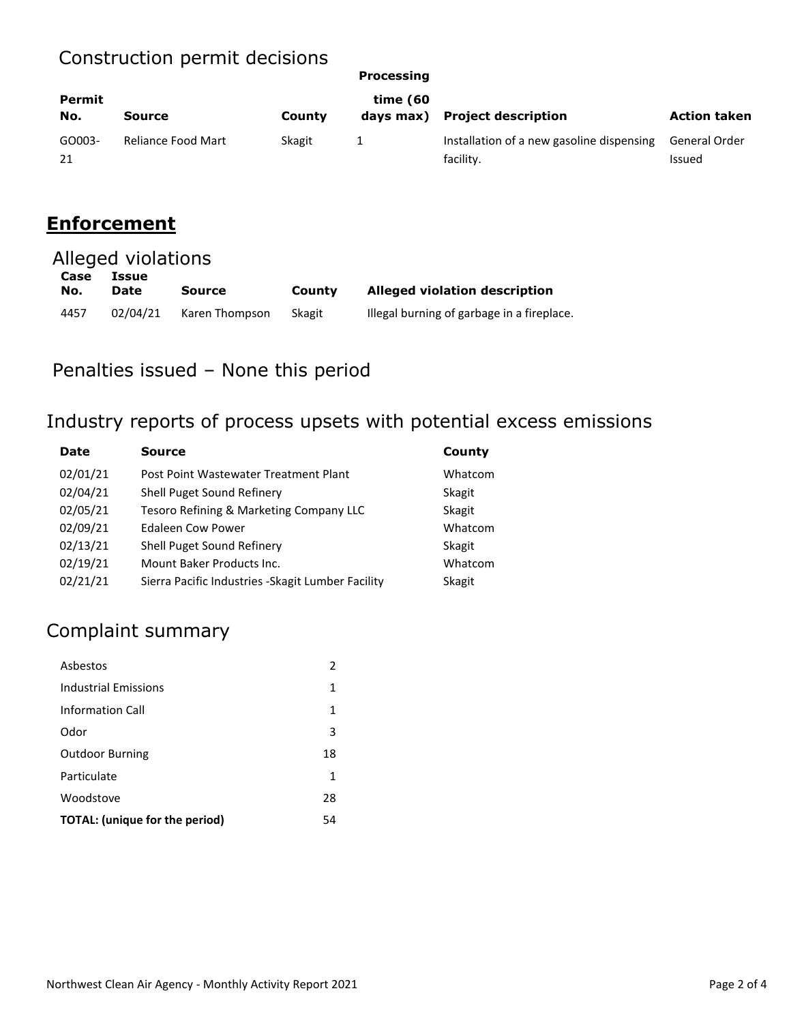## Construction permit decisions

|               | conocraction pormic accioiono |        | Processing |                                                        |                                |  |
|---------------|-------------------------------|--------|------------|--------------------------------------------------------|--------------------------------|--|
| Permit<br>No. | <b>Source</b>                 | County | time (60   | days max) Project description                          | <b>Action taken</b>            |  |
| GO003-<br>21  | <b>Reliance Food Mart</b>     | Skagit |            | Installation of a new gasoline dispensing<br>facility. | General Order<br><b>Issued</b> |  |

#### **Enforcement**

| Alleged violations |                             |                |        |                                            |  |
|--------------------|-----------------------------|----------------|--------|--------------------------------------------|--|
| Case<br>No.        | <b>Issue</b><br><b>Date</b> | <b>Source</b>  | County | <b>Alleged violation description</b>       |  |
| 4457               | 02/04/21                    | Karen Thompson | Skagit | Illegal burning of garbage in a fireplace. |  |

Penalties issued – None this period

# Industry reports of process upsets with potential excess emissions

| <b>Date</b> | Source                                             | County  |  |
|-------------|----------------------------------------------------|---------|--|
| 02/01/21    | Post Point Wastewater Treatment Plant              | Whatcom |  |
| 02/04/21    | Shell Puget Sound Refinery                         | Skagit  |  |
| 02/05/21    | Tesoro Refining & Marketing Company LLC            | Skagit  |  |
| 02/09/21    | <b>Edaleen Cow Power</b>                           | Whatcom |  |
| 02/13/21    | Shell Puget Sound Refinery                         | Skagit  |  |
| 02/19/21    | Mount Baker Products Inc.                          | Whatcom |  |
| 02/21/21    | Sierra Pacific Industries - Skagit Lumber Facility | Skagit  |  |

## Complaint summary

| Ashestos                       | 2  |
|--------------------------------|----|
| <b>Industrial Emissions</b>    | 1  |
| Information Call               | 1  |
| Odor                           | 3  |
| <b>Outdoor Burning</b>         | 18 |
| Particulate                    | 1  |
| Woodstove                      | 28 |
| TOTAL: (unique for the period) | 54 |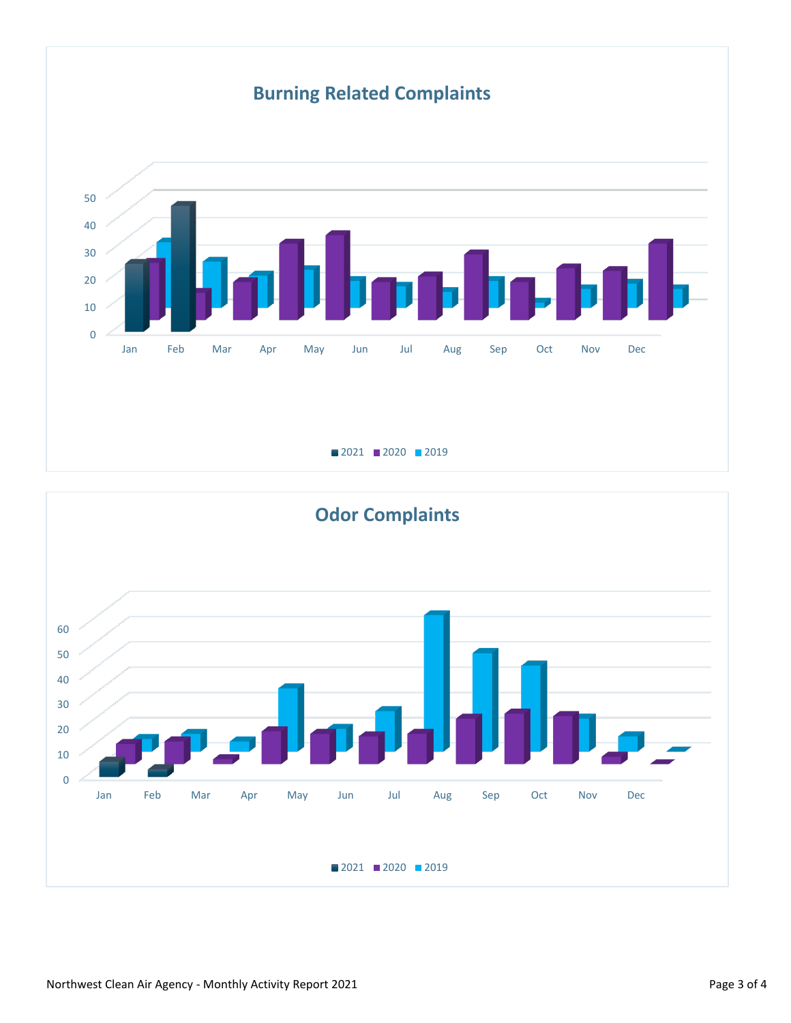